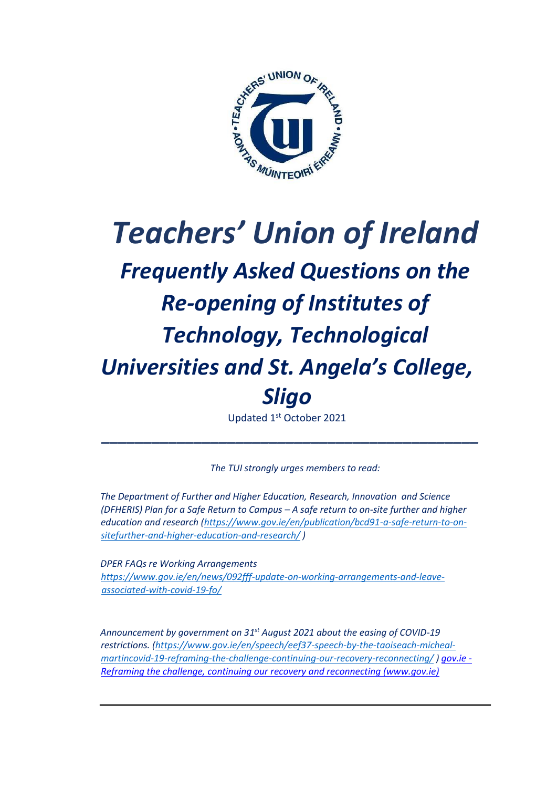

# *Teachers' Union of Ireland Frequently Asked Questions on the Re-opening of Institutes of Technology, Technological Universities and St. Angela's College, Sligo*

Updated 1st October 2021

*The TUI strongly urges members to read:* 

*\_\_\_\_\_\_\_\_\_\_\_\_\_\_\_\_\_\_\_\_\_\_\_\_\_\_\_\_\_\_\_\_\_\_\_\_\_\_\_\_\_\_\_\_\_* 

*The Department of Further and Higher Education, Research, Innovation and Science (DFHERIS) Plan for a Safe Return to Campus – A safe return to on-site further and higher education and research [\(https://www.gov.ie/en/publication/bcd91-a-safe-return-to-on](https://www.gov.ie/en/publication/bcd91-a-safe-return-to-on-site-further-and-higher-education-and-research/)[sitefurther-and-higher-education-and-research/](https://www.gov.ie/en/publication/bcd91-a-safe-return-to-on-site-further-and-higher-education-and-research/) )* 

*DPER FAQs re Working Arrangements [https://www.gov.ie/en/news/092fff-update-on-working-arrangements-and-leave](https://www.gov.ie/en/news/092fff-update-on-working-arrangements-and-leave-associated-with-covid-19-fo/)[associated-with-covid-19-fo/](https://www.gov.ie/en/news/092fff-update-on-working-arrangements-and-leave-associated-with-covid-19-fo/)*

*Announcement by government on 31 st August 2021 about the easing of COVID-19 restrictions[. \(https://www.gov.ie/en/speech/eef37-speech-by-the-taoiseach-micheal](https://www.gov.ie/en/speech/eef37-speech-by-the-taoiseach-micheal-martin-covid-19-reframing-the-challenge-continuing-our-recovery-reconnecting/)[martincovid-19-reframing-the-challenge-continuing-our-recovery-reconnecting/](https://www.gov.ie/en/speech/eef37-speech-by-the-taoiseach-micheal-martin-covid-19-reframing-the-challenge-continuing-our-recovery-reconnecting/) [\) gov.ie -](https://www.gov.ie/en/publication/3361b-public-health-updates/) [Reframing the challenge, continuing our recovery and reconnecting \(www.gov.ie\)](https://www.gov.ie/en/publication/3361b-public-health-updates/)*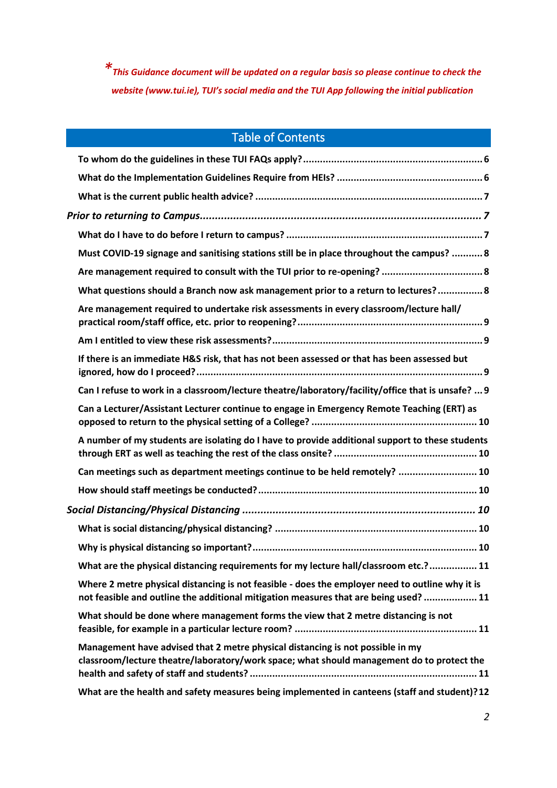*\*This Guidance document will be updated on a regular basis so please continue to check the website (www.tui.ie), TUI's social media and the TUI App following the initial publication*

# Table of Contents

|  | Must COVID-19 signage and sanitising stations still be in place throughout the campus?  8                                                                                               |  |
|--|-----------------------------------------------------------------------------------------------------------------------------------------------------------------------------------------|--|
|  |                                                                                                                                                                                         |  |
|  | What questions should a Branch now ask management prior to a return to lectures? 8                                                                                                      |  |
|  | Are management required to undertake risk assessments in every classroom/lecture hall/                                                                                                  |  |
|  |                                                                                                                                                                                         |  |
|  | If there is an immediate H&S risk, that has not been assessed or that has been assessed but                                                                                             |  |
|  | Can I refuse to work in a classroom/lecture theatre/laboratory/facility/office that is unsafe?  9                                                                                       |  |
|  | Can a Lecturer/Assistant Lecturer continue to engage in Emergency Remote Teaching (ERT) as                                                                                              |  |
|  | A number of my students are isolating do I have to provide additional support to these students                                                                                         |  |
|  | Can meetings such as department meetings continue to be held remotely?  10                                                                                                              |  |
|  |                                                                                                                                                                                         |  |
|  |                                                                                                                                                                                         |  |
|  |                                                                                                                                                                                         |  |
|  |                                                                                                                                                                                         |  |
|  | What are the physical distancing requirements for my lecture hall/classroom etc.? 11                                                                                                    |  |
|  | Where 2 metre physical distancing is not feasible - does the employer need to outline why it is<br>not feasible and outline the additional mitigation measures that are being used?  11 |  |
|  | What should be done where management forms the view that 2 metre distancing is not                                                                                                      |  |
|  | Management have advised that 2 metre physical distancing is not possible in my<br>classroom/lecture theatre/laboratory/work space; what should management do to protect the             |  |
|  | What are the health and safety measures being implemented in canteens (staff and student)?12                                                                                            |  |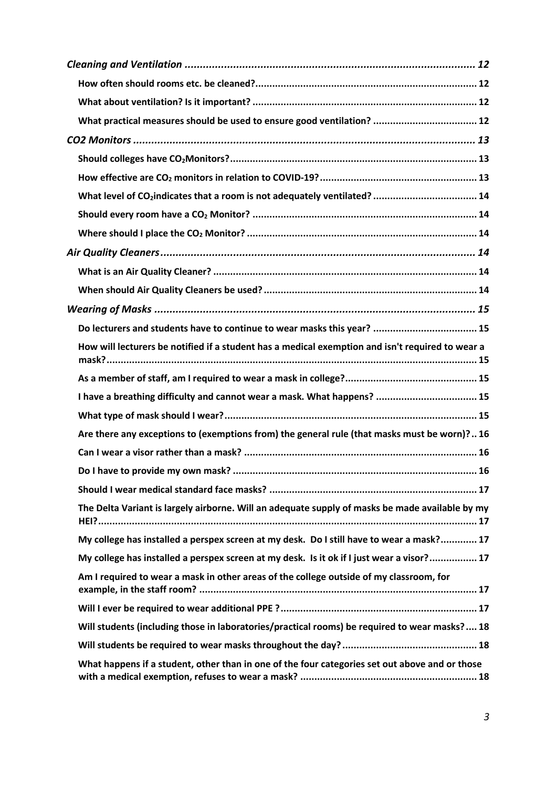| What practical measures should be used to ensure good ventilation?  12                           |
|--------------------------------------------------------------------------------------------------|
|                                                                                                  |
|                                                                                                  |
|                                                                                                  |
| What level of CO <sub>2</sub> indicates that a room is not adequately ventilated?  14            |
|                                                                                                  |
|                                                                                                  |
|                                                                                                  |
|                                                                                                  |
|                                                                                                  |
|                                                                                                  |
| Do lecturers and students have to continue to wear masks this year?  15                          |
| How will lecturers be notified if a student has a medical exemption and isn't required to wear a |
|                                                                                                  |
| I have a breathing difficulty and cannot wear a mask. What happens?  15                          |
|                                                                                                  |
| Are there any exceptions to (exemptions from) the general rule (that masks must be worn)? 16     |
|                                                                                                  |
|                                                                                                  |
|                                                                                                  |
| The Delta Variant is largely airborne. Will an adequate supply of masks be made available by my  |
| My college has installed a perspex screen at my desk. Do I still have to wear a mask? 17         |
| My college has installed a perspex screen at my desk. Is it ok if I just wear a visor? 17        |
| Am I required to wear a mask in other areas of the college outside of my classroom, for          |
|                                                                                                  |
| Will students (including those in laboratories/practical rooms) be required to wear masks?  18   |
|                                                                                                  |
| What happens if a student, other than in one of the four categories set out above and or those   |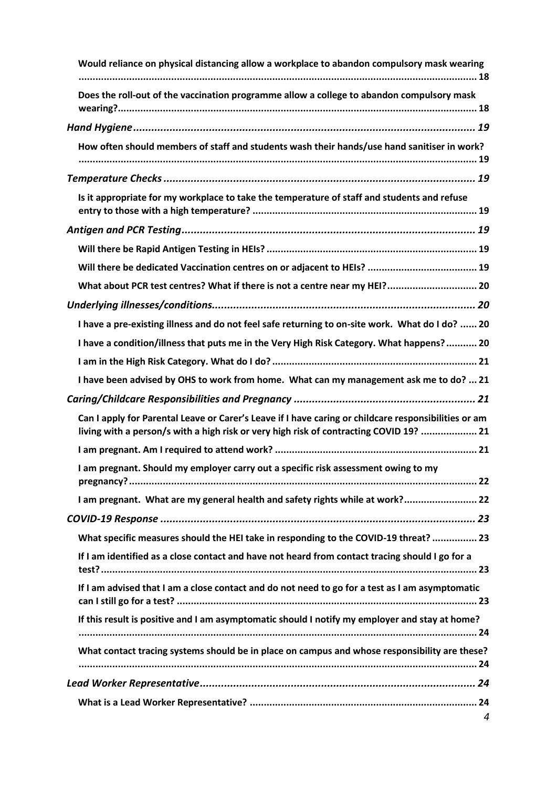| Would reliance on physical distancing allow a workplace to abandon compulsory mask wearing                                                                                                     |  |  |
|------------------------------------------------------------------------------------------------------------------------------------------------------------------------------------------------|--|--|
| Does the roll-out of the vaccination programme allow a college to abandon compulsory mask                                                                                                      |  |  |
|                                                                                                                                                                                                |  |  |
| How often should members of staff and students wash their hands/use hand sanitiser in work?                                                                                                    |  |  |
|                                                                                                                                                                                                |  |  |
| Is it appropriate for my workplace to take the temperature of staff and students and refuse                                                                                                    |  |  |
|                                                                                                                                                                                                |  |  |
|                                                                                                                                                                                                |  |  |
|                                                                                                                                                                                                |  |  |
| What about PCR test centres? What if there is not a centre near my HEI? 20                                                                                                                     |  |  |
|                                                                                                                                                                                                |  |  |
| I have a pre-existing illness and do not feel safe returning to on-site work. What do I do?  20                                                                                                |  |  |
| I have a condition/illness that puts me in the Very High Risk Category. What happens? 20                                                                                                       |  |  |
|                                                                                                                                                                                                |  |  |
| I have been advised by OHS to work from home. What can my management ask me to do?  21                                                                                                         |  |  |
|                                                                                                                                                                                                |  |  |
| Can I apply for Parental Leave or Carer's Leave if I have caring or childcare responsibilities or am<br>living with a person/s with a high risk or very high risk of contracting COVID 19?  21 |  |  |
|                                                                                                                                                                                                |  |  |
| I am pregnant. Should my employer carry out a specific risk assessment owing to my                                                                                                             |  |  |
| I am pregnant. What are my general health and safety rights while at work? 22                                                                                                                  |  |  |
|                                                                                                                                                                                                |  |  |
| What specific measures should the HEI take in responding to the COVID-19 threat?  23                                                                                                           |  |  |
| If I am identified as a close contact and have not heard from contact tracing should I go for a                                                                                                |  |  |
| If I am advised that I am a close contact and do not need to go for a test as I am asymptomatic                                                                                                |  |  |
| If this result is positive and I am asymptomatic should I notify my employer and stay at home?                                                                                                 |  |  |
| What contact tracing systems should be in place on campus and whose responsibility are these?                                                                                                  |  |  |
|                                                                                                                                                                                                |  |  |
| 4                                                                                                                                                                                              |  |  |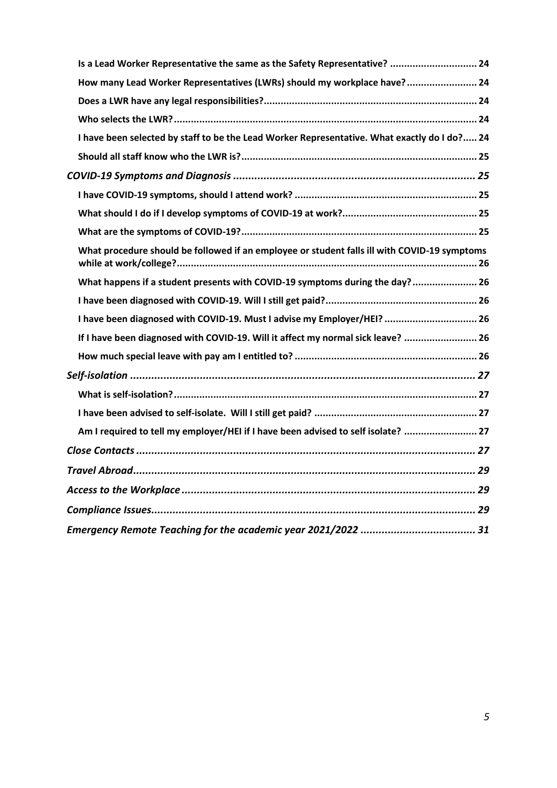| Is a Lead Worker Representative the same as the Safety Representative?  24                   |  |  |
|----------------------------------------------------------------------------------------------|--|--|
| How many Lead Worker Representatives (LWRs) should my workplace have? 24                     |  |  |
|                                                                                              |  |  |
|                                                                                              |  |  |
| I have been selected by staff to be the Lead Worker Representative. What exactly do I do? 24 |  |  |
|                                                                                              |  |  |
|                                                                                              |  |  |
|                                                                                              |  |  |
|                                                                                              |  |  |
|                                                                                              |  |  |
| What procedure should be followed if an employee or student falls ill with COVID-19 symptoms |  |  |
| What happens if a student presents with COVID-19 symptoms during the day? 26                 |  |  |
|                                                                                              |  |  |
| I have been diagnosed with COVID-19. Must I advise my Employer/HEI?  26                      |  |  |
| If I have been diagnosed with COVID-19. Will it affect my normal sick leave?  26             |  |  |
|                                                                                              |  |  |
|                                                                                              |  |  |
|                                                                                              |  |  |
|                                                                                              |  |  |
| Am I required to tell my employer/HEI if I have been advised to self isolate?  27            |  |  |
|                                                                                              |  |  |
|                                                                                              |  |  |
|                                                                                              |  |  |
|                                                                                              |  |  |
|                                                                                              |  |  |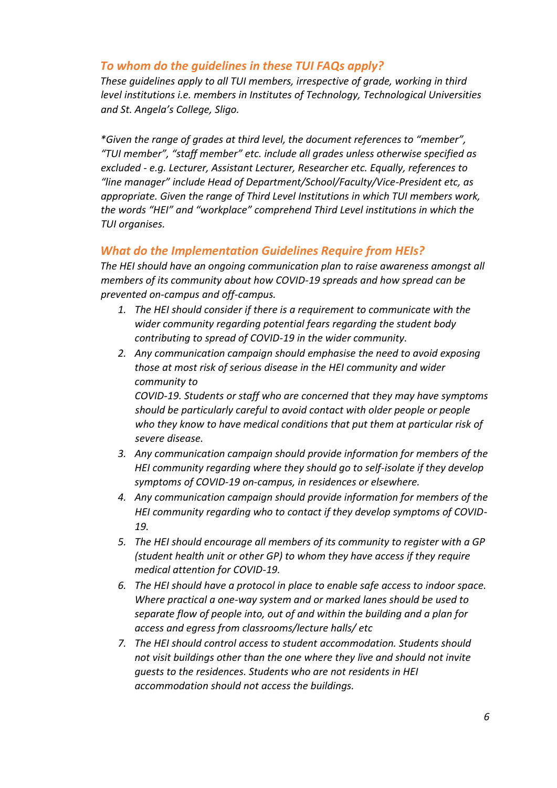#### <span id="page-5-0"></span>*To whom do the guidelines in these TUI FAQs apply?*

*These guidelines apply to all TUI members, irrespective of grade, working in third level institutions i.e. members in Institutes of Technology, Technological Universities and St. Angela's College, Sligo.*

*\*Given the range of grades at third level, the document references to "member", "TUI member", "staff member" etc. include all grades unless otherwise specified as excluded - e.g. Lecturer, Assistant Lecturer, Researcher etc. Equally, references to "line manager" include Head of Department/School/Faculty/Vice-President etc, as appropriate. Given the range of Third Level Institutions in which TUI members work, the words "HEI" and "workplace" comprehend Third Level institutions in which the TUI organises.*

### <span id="page-5-1"></span>*What do the Implementation Guidelines Require from HEIs?*

*The HEI should have an ongoing communication plan to raise awareness amongst all members of its community about how COVID-19 spreads and how spread can be prevented on-campus and off-campus.* 

- *1. The HEI should consider if there is a requirement to communicate with the wider community regarding potential fears regarding the student body contributing to spread of COVID-19 in the wider community.*
- *2. Any communication campaign should emphasise the need to avoid exposing those at most risk of serious disease in the HEI community and wider community to*

*COVID-19. Students or staff who are concerned that they may have symptoms should be particularly careful to avoid contact with older people or people who they know to have medical conditions that put them at particular risk of severe disease.* 

- *3. Any communication campaign should provide information for members of the HEI community regarding where they should go to self-isolate if they develop symptoms of COVID-19 on-campus, in residences or elsewhere.*
- *4. Any communication campaign should provide information for members of the HEI community regarding who to contact if they develop symptoms of COVID-19.*
- *5. The HEI should encourage all members of its community to register with a GP (student health unit or other GP) to whom they have access if they require medical attention for COVID-19.*
- *6. The HEI should have a protocol in place to enable safe access to indoor space. Where practical a one-way system and or marked lanes should be used to separate flow of people into, out of and within the building and a plan for access and egress from classrooms/lecture halls/ etc*
- *7. The HEI should control access to student accommodation. Students should not visit buildings other than the one where they live and should not invite guests to the residences. Students who are not residents in HEI accommodation should not access the buildings.*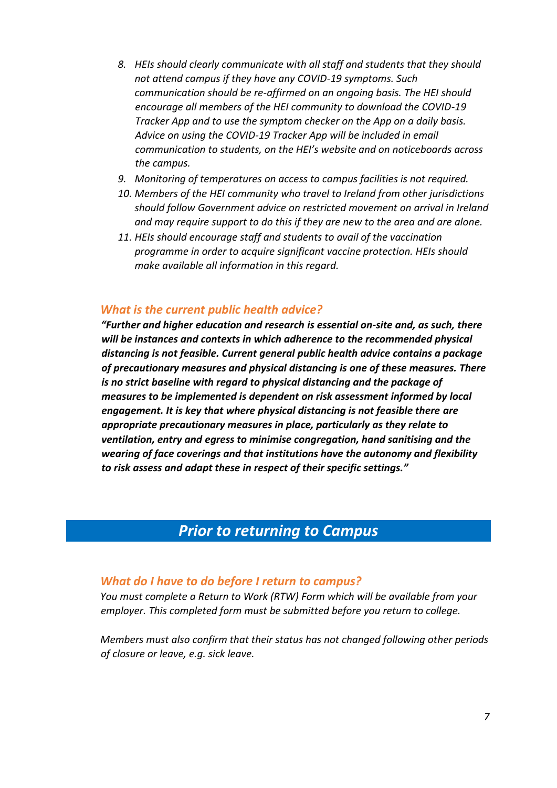- *8. HEIs should clearly communicate with all staff and students that they should not attend campus if they have any COVID-19 symptoms. Such communication should be re-affirmed on an ongoing basis. The HEI should encourage all members of the HEI community to download the COVID-19 Tracker App and to use the symptom checker on the App on a daily basis. Advice on using the COVID-19 Tracker App will be included in email communication to students, on the HEI's website and on noticeboards across the campus.*
- *9. Monitoring of temperatures on access to campus facilities is not required.*
- *10. Members of the HEI community who travel to Ireland from other jurisdictions should follow Government advice on restricted movement on arrival in Ireland and may require support to do this if they are new to the area and are alone.*
- *11. HEIs should encourage staff and students to avail of the vaccination programme in order to acquire significant vaccine protection. HEIs should make available all information in this regard.*

#### <span id="page-6-0"></span>*What is the current public health advice?*

*"Further and higher education and research is essential on-site and, as such, there will be instances and contexts in which adherence to the recommended physical distancing is not feasible. Current general public health advice contains a package of precautionary measures and physical distancing is one of these measures. There is no strict baseline with regard to physical distancing and the package of measures to be implemented is dependent on risk assessment informed by local engagement. It is key that where physical distancing is not feasible there are appropriate precautionary measures in place, particularly as they relate to ventilation, entry and egress to minimise congregation, hand sanitising and the wearing of face coverings and that institutions have the autonomy and flexibility to risk assess and adapt these in respect of their specific settings."* 

# *Prior to returning to Campus*

#### <span id="page-6-2"></span><span id="page-6-1"></span>*What do I have to do before I return to campus?*

*You must complete a Return to Work (RTW) Form which will be available from your employer. This completed form must be submitted before you return to college.* 

*Members must also confirm that their status has not changed following other periods of closure or leave, e.g. sick leave.*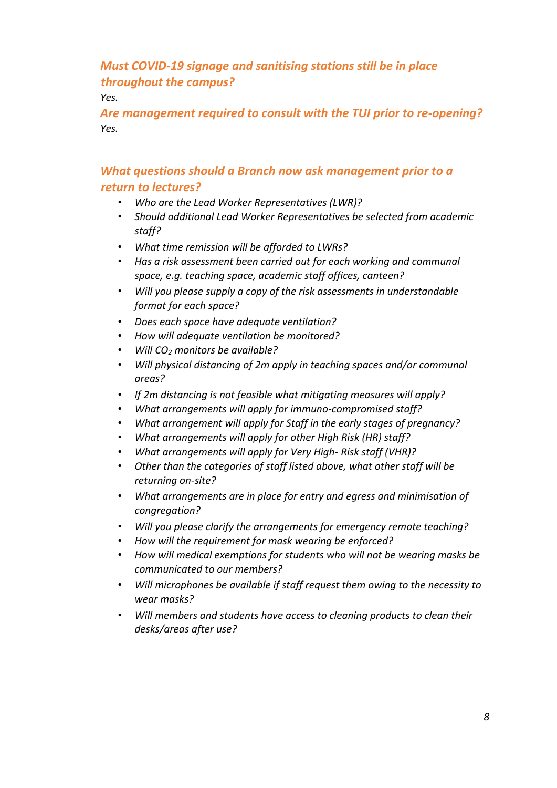# <span id="page-7-0"></span>*Must COVID-19 signage and sanitising stations still be in place throughout the campus?*

*Yes.* 

<span id="page-7-1"></span>*Are management required to consult with the TUI prior to re-opening? Yes.* 

# <span id="page-7-2"></span>*What questions should a Branch now ask management prior to a return to lectures?*

- *Who are the Lead Worker Representatives (LWR)?*
- *Should additional Lead Worker Representatives be selected from academic staff?*
- *What time remission will be afforded to LWRs?*
- *Has a risk assessment been carried out for each working and communal space, e.g. teaching space, academic staff offices, canteen?*
- *Will you please supply a copy of the risk assessments in understandable format for each space?*
- *Does each space have adequate ventilation?*
- *How will adequate ventilation be monitored?*
- *Will CO<sup>2</sup> monitors be available?*
- *Will physical distancing of 2m apply in teaching spaces and/or communal areas?*
- *If 2m distancing is not feasible what mitigating measures will apply?*
- *What arrangements will apply for immuno-compromised staff?*
- *What arrangement will apply for Staff in the early stages of pregnancy?*
- *What arrangements will apply for other High Risk (HR) staff?*
- *What arrangements will apply for Very High- Risk staff (VHR)?*
- *Other than the categories of staff listed above, what other staff will be returning on-site?*
- *What arrangements are in place for entry and egress and minimisation of congregation?*
- *Will you please clarify the arrangements for emergency remote teaching?*
- *How will the requirement for mask wearing be enforced?*
- *How will medical exemptions for students who will not be wearing masks be communicated to our members?*
- *Will microphones be available if staff request them owing to the necessity to wear masks?*
- *Will members and students have access to cleaning products to clean their desks/areas after use?*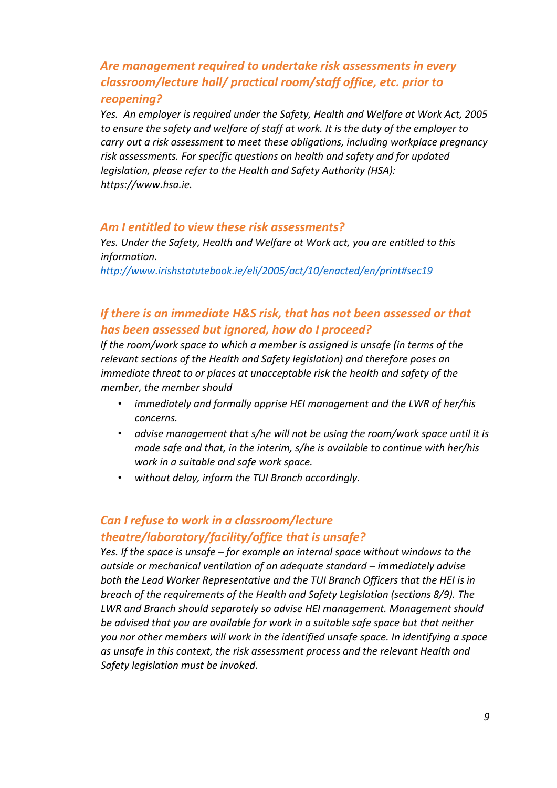# <span id="page-8-0"></span>*Are management required to undertake risk assessments in every classroom/lecture hall/ practical room/staff office, etc. prior to reopening?*

*Yes. An employer is required under the Safety, Health and Welfare at Work Act, 2005 to ensure the safety and welfare of staff at work. It is the duty of the employer to carry out a risk assessment to meet these obligations, including workplace pregnancy risk assessments. For specific questions on health and safety and for updated legislation, please refer to the Health and Safety Authority (HSA): https://www.hsa.ie.* 

#### <span id="page-8-1"></span>*Am I entitled to view these risk assessments?*

*Yes. Under the Safety, Health and Welfare at Work act, you are entitled to this information.* 

*<http://www.irishstatutebook.ie/eli/2005/act/10/enacted/en/print#sec19>*

### <span id="page-8-2"></span>*If there is an immediate H&S risk, that has not been assessed or that has been assessed but ignored, how do I proceed?*

*If the room/work space to which a member is assigned is unsafe (in terms of the relevant sections of the Health and Safety legislation) and therefore poses an immediate threat to or places at unacceptable risk the health and safety of the member, the member should* 

- *immediately and formally apprise HEI management and the LWR of her/his concerns.*
- *advise management that s/he will not be using the room/work space until it is made safe and that, in the interim, s/he is available to continue with her/his work in a suitable and safe work space.*
- *without delay, inform the TUI Branch accordingly.*

### <span id="page-8-3"></span>*Can I refuse to work in a classroom/lecture theatre/laboratory/facility/office that is unsafe?*

*Yes. If the space is unsafe – for example an internal space without windows to the outside or mechanical ventilation of an adequate standard – immediately advise both the Lead Worker Representative and the TUI Branch Officers that the HEI is in breach of the requirements of the Health and Safety Legislation (sections 8/9). The LWR and Branch should separately so advise HEI management. Management should be advised that you are available for work in a suitable safe space but that neither you nor other members will work in the identified unsafe space. In identifying a space as unsafe in this context, the risk assessment process and the relevant Health and Safety legislation must be invoked.*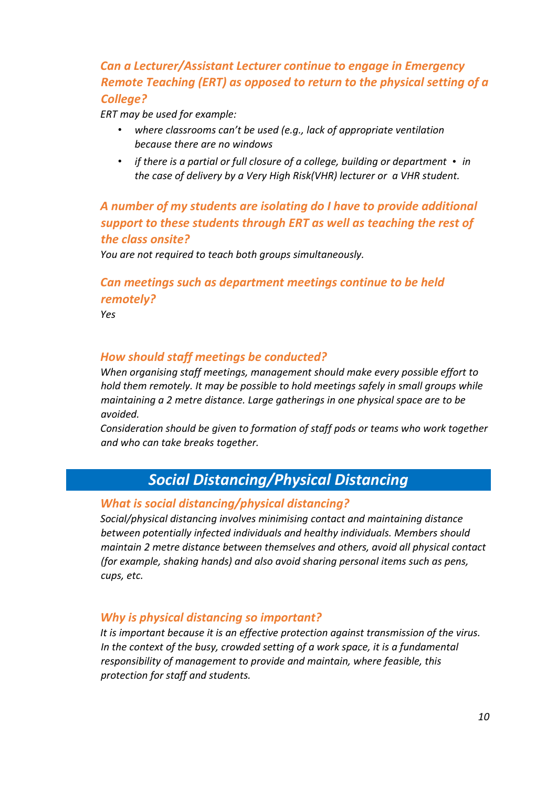# <span id="page-9-0"></span>*Can a Lecturer/Assistant Lecturer continue to engage in Emergency Remote Teaching (ERT) as opposed to return to the physical setting of a College?*

*ERT may be used for example:* 

- *where classrooms can't be used (e.g., lack of appropriate ventilation because there are no windows*
- *if there is a partial or full closure of a college, building or department in the case of delivery by a Very High Risk(VHR) lecturer or a VHR student.*

# <span id="page-9-1"></span>*A number of my students are isolating do I have to provide additional support to these students through ERT as well as teaching the rest of the class onsite?*

*You are not required to teach both groups simultaneously.* 

# <span id="page-9-2"></span>*Can meetings such as department meetings continue to be held remotely?*

*Yes* 

#### <span id="page-9-3"></span>*How should staff meetings be conducted?*

*When organising staff meetings, management should make every possible effort to hold them remotely. It may be possible to hold meetings safely in small groups while maintaining a 2 metre distance. Large gatherings in one physical space are to be avoided.* 

*Consideration should be given to formation of staff pods or teams who work together and who can take breaks together.* 

# *Social Distancing/Physical Distancing*

#### <span id="page-9-5"></span><span id="page-9-4"></span>*What is social distancing/physical distancing?*

*Social/physical distancing involves minimising contact and maintaining distance between potentially infected individuals and healthy individuals. Members should maintain 2 metre distance between themselves and others, avoid all physical contact (for example, shaking hands) and also avoid sharing personal items such as pens, cups, etc.* 

#### <span id="page-9-6"></span>*Why is physical distancing so important?*

*It is important because it is an effective protection against transmission of the virus. In the context of the busy, crowded setting of a work space, it is a fundamental responsibility of management to provide and maintain, where feasible, this protection for staff and students.*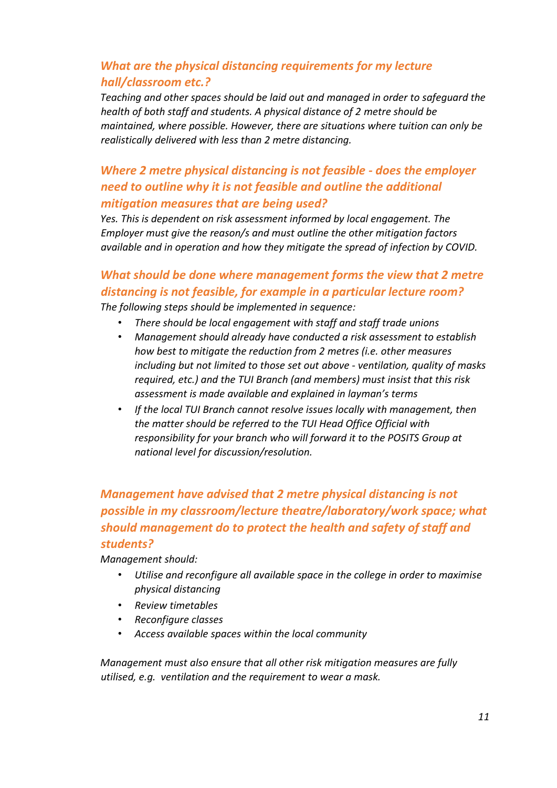# <span id="page-10-0"></span>*What are the physical distancing requirements for my lecture hall/classroom etc.?*

*Teaching and other spaces should be laid out and managed in order to safeguard the health of both staff and students. A physical distance of 2 metre should be maintained, where possible. However, there are situations where tuition can only be realistically delivered with less than 2 metre distancing.* 

# <span id="page-10-1"></span>*Where 2 metre physical distancing is not feasible - does the employer need to outline why it is not feasible and outline the additional mitigation measures that are being used?*

*Yes. This is dependent on risk assessment informed by local engagement. The Employer must give the reason/s and must outline the other mitigation factors available and in operation and how they mitigate the spread of infection by COVID.*

### <span id="page-10-2"></span>*What should be done where management forms the view that 2 metre distancing is not feasible, for example in a particular lecture room? The following steps should be implemented in sequence:*

- *There should be local engagement with staff and staff trade unions*
- *Management should already have conducted a risk assessment to establish how best to mitigate the reduction from 2 metres (i.e. other measures including but not limited to those set out above - ventilation, quality of masks required, etc.) and the TUI Branch (and members) must insist that this risk assessment is made available and explained in layman's terms*
- *If the local TUI Branch cannot resolve issues locally with management, then the matter should be referred to the TUI Head Office Official with responsibility for your branch who will forward it to the POSITS Group at national level for discussion/resolution.*

# <span id="page-10-3"></span>*Management have advised that 2 metre physical distancing is not possible in my classroom/lecture theatre/laboratory/work space; what should management do to protect the health and safety of staff and students?*

*Management should:* 

- *Utilise and reconfigure all available space in the college in order to maximise physical distancing*
- *Review timetables*
- *Reconfigure classes*
- *Access available spaces within the local community*

*Management must also ensure that all other risk mitigation measures are fully utilised, e.g. ventilation and the requirement to wear a mask.*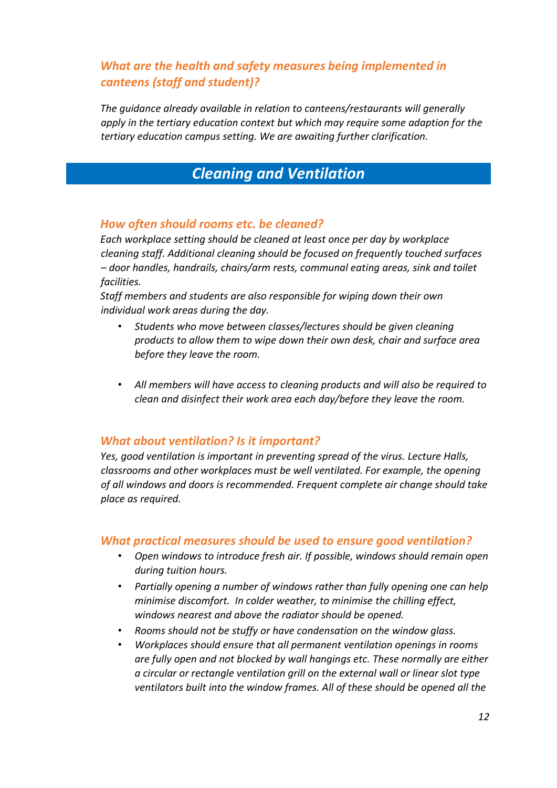# <span id="page-11-0"></span>*What are the health and safety measures being implemented in canteens (staff and student)?*

*The guidance already available in relation to canteens/restaurants will generally apply in the tertiary education context but which may require some adaption for the tertiary education campus setting. We are awaiting further clarification.* 

# *Cleaning and Ventilation*

#### <span id="page-11-2"></span><span id="page-11-1"></span>*How often should rooms etc. be cleaned?*

*Each workplace setting should be cleaned at least once per day by workplace cleaning staff. Additional cleaning should be focused on frequently touched surfaces – door handles, handrails, chairs/arm rests, communal eating areas, sink and toilet facilities.* 

*Staff members and students are also responsible for wiping down their own individual work areas during the day.* 

- *Students who move between classes/lectures should be given cleaning products to allow them to wipe down their own desk, chair and surface area before they leave the room.*
- *All members will have access to cleaning products and will also be required to clean and disinfect their work area each day/before they leave the room.*

#### <span id="page-11-3"></span>*What about ventilation? Is it important?*

*Yes, good ventilation is important in preventing spread of the virus. Lecture Halls, classrooms and other workplaces must be well ventilated. For example, the opening of all windows and doors is recommended. Frequent complete air change should take place as required.*

#### <span id="page-11-4"></span>*What practical measures should be used to ensure good ventilation?*

- *Open windows to introduce fresh air. If possible, windows should remain open during tuition hours.*
- *Partially opening a number of windows rather than fully opening one can help minimise discomfort. In colder weather, to minimise the chilling effect, windows nearest and above the radiator should be opened.*
- *Rooms should not be stuffy or have condensation on the window glass.*
- *Workplaces should ensure that all permanent ventilation openings in rooms are fully open and not blocked by wall hangings etc. These normally are either a circular or rectangle ventilation grill on the external wall or linear slot type ventilators built into the window frames. All of these should be opened all the*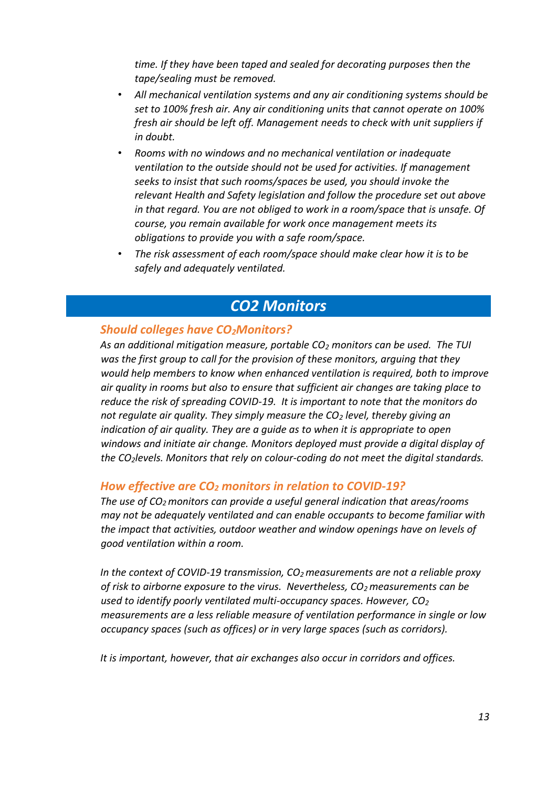*time. If they have been taped and sealed for decorating purposes then the tape/sealing must be removed.* 

- *All mechanical ventilation systems and any air conditioning systems should be set to 100% fresh air. Any air conditioning units that cannot operate on 100% fresh air should be left off. Management needs to check with unit suppliers if in doubt.*
- *Rooms with no windows and no mechanical ventilation or inadequate ventilation to the outside should not be used for activities. If management seeks to insist that such rooms/spaces be used, you should invoke the relevant Health and Safety legislation and follow the procedure set out above in that regard. You are not obliged to work in a room/space that is unsafe. Of course, you remain available for work once management meets its obligations to provide you with a safe room/space.*
- *The risk assessment of each room/space should make clear how it is to be safely and adequately ventilated.*

# *CO2 Monitors*

#### <span id="page-12-1"></span><span id="page-12-0"></span>*Should colleges have CO2Monitors?*

*As an additional mitigation measure, portable CO<sup>2</sup> monitors can be used. The TUI was the first group to call for the provision of these monitors, arguing that they would help members to know when enhanced ventilation is required, both to improve air quality in rooms but also to ensure that sufficient air changes are taking place to reduce the risk of spreading COVID-19. It is important to note that the monitors do not regulate air quality. They simply measure the CO<sup>2</sup> level, thereby giving an indication of air quality. They are a guide as to when it is appropriate to open windows and initiate air change. Monitors deployed must provide a digital display of the CO2levels. Monitors that rely on colour-coding do not meet the digital standards.* 

#### <span id="page-12-2"></span>*How effective are CO<sup>2</sup> monitors in relation to COVID-19?*

*The use of CO2 monitors can provide a useful general indication that areas/rooms may not be adequately ventilated and can enable occupants to become familiar with the impact that activities, outdoor weather and window openings have on levels of good ventilation within a room.* 

*In the context of COVID-19 transmission, CO2 measurements are not a reliable proxy of risk to airborne exposure to the virus. Nevertheless, CO2 measurements can be used to identify poorly ventilated multi-occupancy spaces. However, CO<sup>2</sup> measurements are a less reliable measure of ventilation performance in single or low occupancy spaces (such as offices) or in very large spaces (such as corridors).* 

*It is important, however, that air exchanges also occur in corridors and offices.*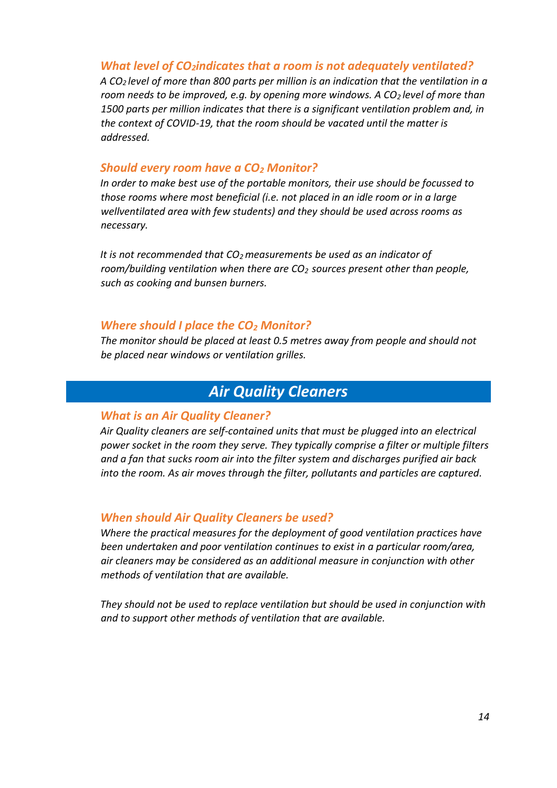#### <span id="page-13-0"></span>*What level of CO2indicates that a room is not adequately ventilated?*

*A CO2 level of more than 800 parts per million is an indication that the ventilation in a room needs to be improved, e.g. by opening more windows. A CO2 level of more than 1500 parts per million indicates that there is a significant ventilation problem and, in the context of COVID-19, that the room should be vacated until the matter is addressed.* 

#### <span id="page-13-1"></span>*Should every room have a CO<sup>2</sup> Monitor?*

*In order to make best use of the portable monitors, their use should be focussed to those rooms where most beneficial (i.e. not placed in an idle room or in a large wellventilated area with few students) and they should be used across rooms as necessary.* 

*It is not recommended that CO2 measurements be used as an indicator of room/building ventilation when there are CO2 sources present other than people, such as cooking and bunsen burners.* 

#### <span id="page-13-2"></span>*Where should I place the CO<sup>2</sup> Monitor?*

*The monitor should be placed at least 0.5 metres away from people and should not be placed near windows or ventilation grilles.* 

# *Air Quality Cleaners*

#### <span id="page-13-4"></span><span id="page-13-3"></span>*What is an Air Quality Cleaner?*

*Air Quality cleaners are self-contained units that must be plugged into an electrical power socket in the room they serve. They typically comprise a filter or multiple filters and a fan that sucks room air into the filter system and discharges purified air back into the room. As air moves through the filter, pollutants and particles are captured.* 

#### <span id="page-13-5"></span>*When should Air Quality Cleaners be used?*

*Where the practical measures for the deployment of good ventilation practices have been undertaken and poor ventilation continues to exist in a particular room/area, air cleaners may be considered as an additional measure in conjunction with other methods of ventilation that are available.* 

*They should not be used to replace ventilation but should be used in conjunction with and to support other methods of ventilation that are available.*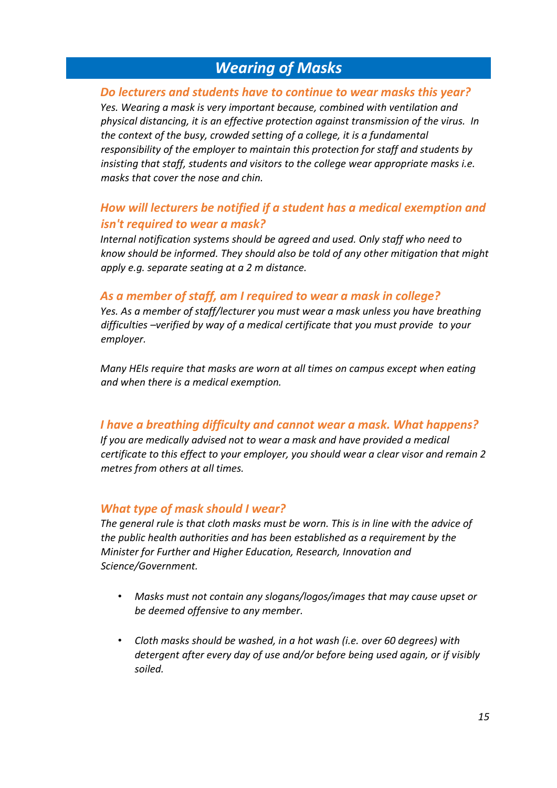# *Wearing of Masks*

#### <span id="page-14-1"></span><span id="page-14-0"></span>*Do lecturers and students have to continue to wear masks this year?*

*Yes. Wearing a mask is very important because, combined with ventilation and physical distancing, it is an effective protection against transmission of the virus. In the context of the busy, crowded setting of a college, it is a fundamental responsibility of the employer to maintain this protection for staff and students by insisting that staff, students and visitors to the college wear appropriate masks i.e. masks that cover the nose and chin.*

### <span id="page-14-2"></span>*How will lecturers be notified if a student has a medical exemption and isn't required to wear a mask?*

*Internal notification systems should be agreed and used. Only staff who need to know should be informed. They should also be told of any other mitigation that might apply e.g. separate seating at a 2 m distance.*

#### <span id="page-14-3"></span>*As a member of staff, am I required to wear a mask in college?*

*Yes. As a member of staff/lecturer you must wear a mask unless you have breathing difficulties –verified by way of a medical certificate that you must provide to your employer.* 

*Many HEIs require that masks are worn at all times on campus except when eating and when there is a medical exemption.* 

#### <span id="page-14-4"></span>*I have a breathing difficulty and cannot wear a mask. What happens?*

*If you are medically advised not to wear a mask and have provided a medical certificate to this effect to your employer, you should wear a clear visor and remain 2 metres from others at all times.*

#### <span id="page-14-5"></span>*What type of mask should I wear?*

*The general rule is that cloth masks must be worn. This is in line with the advice of the public health authorities and has been established as a requirement by the Minister for Further and Higher Education, Research, Innovation and Science/Government.* 

- *Masks must not contain any slogans/logos/images that may cause upset or be deemed offensive to any member.*
- *Cloth masks should be washed, in a hot wash (i.e. over 60 degrees) with detergent after every day of use and/or before being used again, or if visibly soiled.*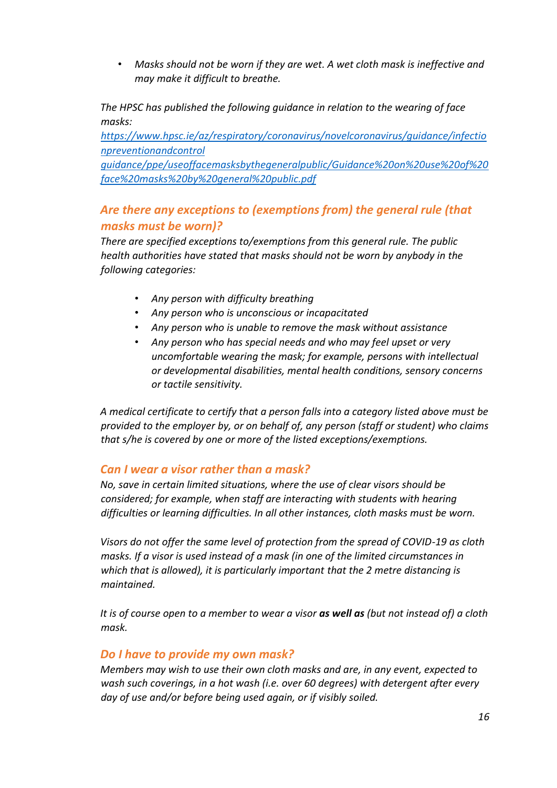• *Masks should not be worn if they are wet. A wet cloth mask is ineffective and may make it difficult to breathe.* 

*The HPSC has published the following guidance in relation to the wearing of face masks:* 

*[https://www.hpsc.ie/az/respiratory/coronavirus/novelcoronavirus/guidance/infectio](https://www.hpsc.ie/a-z/respiratory/coronavirus/novelcoronavirus/guidance/infectionpreventionandcontrolguidance/ppe/useoffacemasksbythegeneralpublic/Guidance%20on%20use%20of%20face%20masks%20by%20general%20public.pdf) [npreventionandcontrol](https://www.hpsc.ie/a-z/respiratory/coronavirus/novelcoronavirus/guidance/infectionpreventionandcontrolguidance/ppe/useoffacemasksbythegeneralpublic/Guidance%20on%20use%20of%20face%20masks%20by%20general%20public.pdf)* 

*[guidance/ppe/useoffacemasksbythegeneralpublic/Guidance%20on%20use%20of%20](https://www.hpsc.ie/a-z/respiratory/coronavirus/novelcoronavirus/guidance/infectionpreventionandcontrolguidance/ppe/useoffacemasksbythegeneralpublic/Guidance%20on%20use%20of%20face%20masks%20by%20general%20public.pdf)  [face%20masks%20by%20general%20public.pdf](https://www.hpsc.ie/a-z/respiratory/coronavirus/novelcoronavirus/guidance/infectionpreventionandcontrolguidance/ppe/useoffacemasksbythegeneralpublic/Guidance%20on%20use%20of%20face%20masks%20by%20general%20public.pdf)*

# <span id="page-15-0"></span>*Are there any exceptions to (exemptions from) the general rule (that masks must be worn)?*

*There are specified exceptions to/exemptions from this general rule. The public health authorities have stated that masks should not be worn by anybody in the following categories:*

- *Any person with difficulty breathing*
- *Any person who is unconscious or incapacitated*
- *Any person who is unable to remove the mask without assistance*
- *Any person who has special needs and who may feel upset or very uncomfortable wearing the mask; for example, persons with intellectual or developmental disabilities, mental health conditions, sensory concerns or tactile sensitivity.*

*A medical certificate to certify that a person falls into a category listed above must be provided to the employer by, or on behalf of, any person (staff or student) who claims that s/he is covered by one or more of the listed exceptions/exemptions.* 

#### <span id="page-15-1"></span>*Can I wear a visor rather than a mask?*

*No, save in certain limited situations, where the use of clear visors should be considered; for example, when staff are interacting with students with hearing difficulties or learning difficulties. In all other instances, cloth masks must be worn.*

*Visors do not offer the same level of protection from the spread of COVID-19 as cloth masks. If a visor is used instead of a mask (in one of the limited circumstances in which that is allowed), it is particularly important that the 2 metre distancing is maintained.* 

*It is of course open to a member to wear a visor as well as (but not instead of) a cloth mask.*

#### <span id="page-15-2"></span>*Do I have to provide my own mask?*

*Members may wish to use their own cloth masks and are, in any event, expected to wash such coverings, in a hot wash (i.e. over 60 degrees) with detergent after every day of use and/or before being used again, or if visibly soiled.*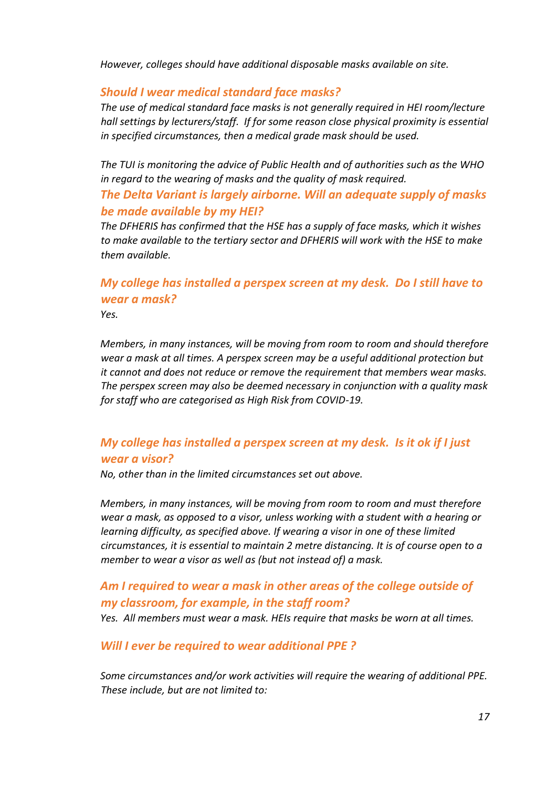*However, colleges should have additional disposable masks available on site.* 

#### <span id="page-16-0"></span>*Should I wear medical standard face masks?*

*The use of medical standard face masks is not generally required in HEI room/lecture hall settings by lecturers/staff. If for some reason close physical proximity is essential in specified circumstances, then a medical grade mask should be used.* 

*The TUI is monitoring the advice of Public Health and of authorities such as the WHO in regard to the wearing of masks and the quality of mask required.* 

#### <span id="page-16-1"></span>*The Delta Variant is largely airborne. Will an adequate supply of masks be made available by my HEI?*

*The DFHERIS has confirmed that the HSE has a supply of face masks, which it wishes to make available to the tertiary sector and DFHERIS will work with the HSE to make them available.* 

# <span id="page-16-2"></span>*My college has installed a perspex screen at my desk. Do I still have to wear a mask?*

*Yes.* 

*Members, in many instances, will be moving from room to room and should therefore wear a mask at all times. A perspex screen may be a useful additional protection but it cannot and does not reduce or remove the requirement that members wear masks. The perspex screen may also be deemed necessary in conjunction with a quality mask for staff who are categorised as High Risk from COVID-19.*

### <span id="page-16-3"></span>*My college has installed a perspex screen at my desk. Is it ok if I just wear a visor?*

*No, other than in the limited circumstances set out above.* 

*Members, in many instances, will be moving from room to room and must therefore wear a mask, as opposed to a visor, unless working with a student with a hearing or learning difficulty, as specified above. If wearing a visor in one of these limited circumstances, it is essential to maintain 2 metre distancing. It is of course open to a member to wear a visor as well as (but not instead of) a mask.*

# <span id="page-16-4"></span>*Am I required to wear a mask in other areas of the college outside of my classroom, for example, in the staff room?*

*Yes. All members must wear a mask. HEIs require that masks be worn at all times.* 

<span id="page-16-5"></span>*Will I ever be required to wear additional PPE ?* 

*Some circumstances and/or work activities will require the wearing of additional PPE. These include, but are not limited to:*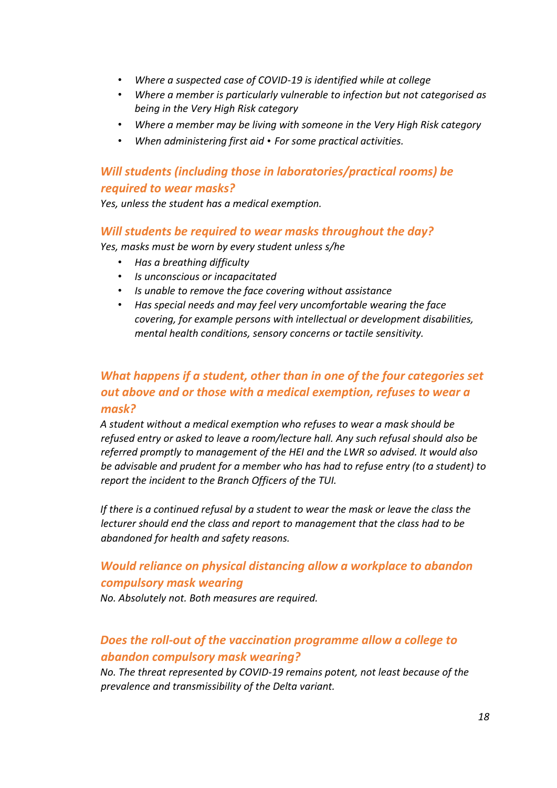- *Where a suspected case of COVID-19 is identified while at college*
- *Where a member is particularly vulnerable to infection but not categorised as being in the Very High Risk category*
- *Where a member may be living with someone in the Very High Risk category*
- *When administering first aid For some practical activities.*

# <span id="page-17-0"></span>*Will students (including those in laboratories/practical rooms) be required to wear masks?*

*Yes, unless the student has a medical exemption.* 

#### <span id="page-17-1"></span>*Will students be required to wear masks throughout the day?*

*Yes, masks must be worn by every student unless s/he* 

- *Has a breathing difficulty*
- *Is unconscious or incapacitated*
- *Is unable to remove the face covering without assistance*
- *Has special needs and may feel very uncomfortable wearing the face covering, for example persons with intellectual or development disabilities, mental health conditions, sensory concerns or tactile sensitivity.*

# <span id="page-17-2"></span>*What happens if a student, other than in one of the four categories set out above and or those with a medical exemption, refuses to wear a mask?*

*A student without a medical exemption who refuses to wear a mask should be refused entry or asked to leave a room/lecture hall. Any such refusal should also be referred promptly to management of the HEI and the LWR so advised. It would also be advisable and prudent for a member who has had to refuse entry (to a student) to report the incident to the Branch Officers of the TUI.*

*If there is a continued refusal by a student to wear the mask or leave the class the lecturer should end the class and report to management that the class had to be abandoned for health and safety reasons.* 

# <span id="page-17-3"></span>*Would reliance on physical distancing allow a workplace to abandon compulsory mask wearing*

*No. Absolutely not. Both measures are required.*

# <span id="page-17-4"></span>*Does the roll-out of the vaccination programme allow a college to abandon compulsory mask wearing?*

*No. The threat represented by COVID-19 remains potent, not least because of the prevalence and transmissibility of the Delta variant.*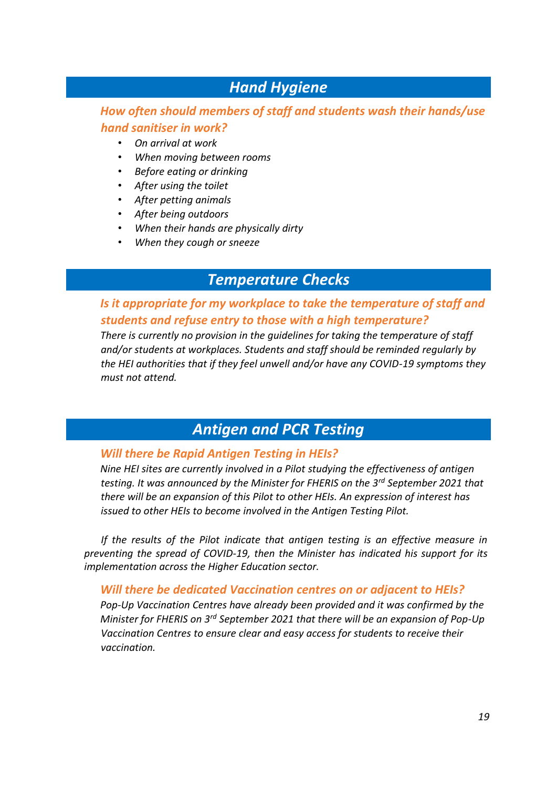# *Hand Hygiene*

### <span id="page-18-1"></span><span id="page-18-0"></span>*How often should members of staff and students wash their hands/use hand sanitiser in work?*

- *On arrival at work*
- *When moving between rooms*
- *Before eating or drinking*
- *After using the toilet*
- *After petting animals*
- *After being outdoors*
- *When their hands are physically dirty*
- *When they cough or sneeze*

# *Temperature Checks*

### <span id="page-18-3"></span><span id="page-18-2"></span>*Is it appropriate for my workplace to take the temperature of staff and students and refuse entry to those with a high temperature?*

*There is currently no provision in the guidelines for taking the temperature of staff and/or students at workplaces. Students and staff should be reminded regularly by the HEI authorities that if they feel unwell and/or have any COVID-19 symptoms they must not attend.* 

# *Antigen and PCR Testing*

#### <span id="page-18-5"></span><span id="page-18-4"></span>*Will there be Rapid Antigen Testing in HEIs?*

*Nine HEI sites are currently involved in a Pilot studying the effectiveness of antigen testing. It was announced by the Minister for FHERIS on the 3rd September 2021 that there will be an expansion of this Pilot to other HEIs. An expression of interest has issued to other HEIs to become involved in the Antigen Testing Pilot.* 

*If the results of the Pilot indicate that antigen testing is an effective measure in preventing the spread of COVID-19, then the Minister has indicated his support for its implementation across the Higher Education sector.* 

#### <span id="page-18-6"></span>*Will there be dedicated Vaccination centres on or adjacent to HEIs?*

*Pop-Up Vaccination Centres have already been provided and it was confirmed by the Minister for FHERIS on 3rd September 2021 that there will be an expansion of Pop-Up Vaccination Centres to ensure clear and easy access for students to receive their vaccination.*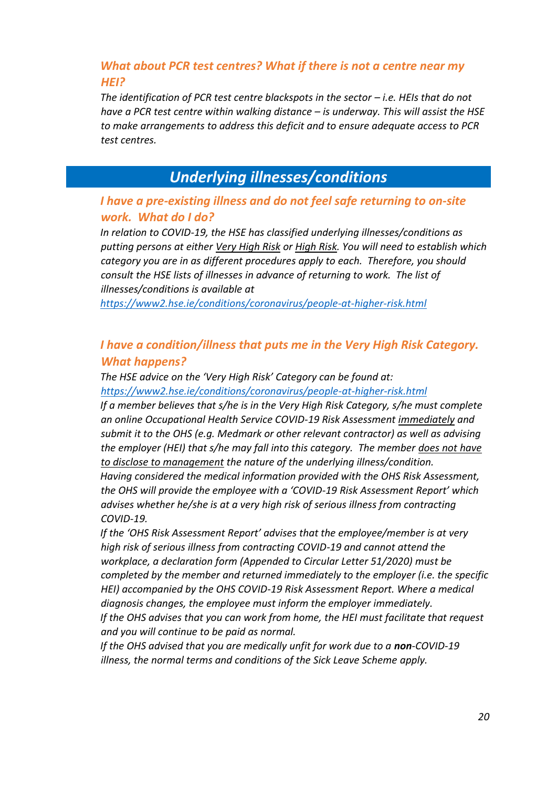# <span id="page-19-0"></span>*What about PCR test centres? What if there is not a centre near my HEI?*

*The identification of PCR test centre blackspots in the sector – <i>i.e. HEIs that do not have a PCR test centre within walking distance – is underway. This will assist the HSE to make arrangements to address this deficit and to ensure adequate access to PCR test centres.* 

# *Underlying illnesses/conditions*

### <span id="page-19-2"></span><span id="page-19-1"></span>*I have a pre-existing illness and do not feel safe returning to on-site work. What do I do?*

*In relation to COVID-19, the HSE has classified underlying illnesses/conditions as putting persons at either Very High Risk or High Risk. You will need to establish which category you are in as different procedures apply to each. Therefore, you should consult the HSE lists of illnesses in advance of returning to work. The list of illnesses/conditions is available at* 

*<https://www2.hse.ie/conditions/coronavirus/people-at-higher-risk.html>*

# <span id="page-19-3"></span>*I have a condition/illness that puts me in the Very High Risk Category. What happens?*

*The HSE advice on the 'Very High Risk' Category can be found at:* 

*<https://www2.hse.ie/conditions/coronavirus/people-at-higher-risk.html>*

*If a member believes that s/he is in the Very High Risk Category, s/he must complete an online Occupational Health Service COVID-19 Risk Assessment immediately and submit it to the OHS (e.g. Medmark or other relevant contractor) as well as advising the employer (HEI) that s/he may fall into this category. The member does not have to disclose to management the nature of the underlying illness/condition.* 

*Having considered the medical information provided with the OHS Risk Assessment, the OHS will provide the employee with a 'COVID-19 Risk Assessment Report' which advises whether he/she is at a very high risk of serious illness from contracting COVID-19.* 

*If the 'OHS Risk Assessment Report' advises that the employee/member is at very high risk of serious illness from contracting COVID-19 and cannot attend the workplace, a declaration form (Appended to Circular Letter 51/2020) must be completed by the member and returned immediately to the employer (i.e. the specific HEI) accompanied by the OHS COVID-19 Risk Assessment Report. Where a medical diagnosis changes, the employee must inform the employer immediately.* 

*If the OHS advises that you can work from home, the HEI must facilitate that request and you will continue to be paid as normal.* 

*If the OHS advised that you are medically unfit for work due to a non-COVID-19 illness, the normal terms and conditions of the Sick Leave Scheme apply.*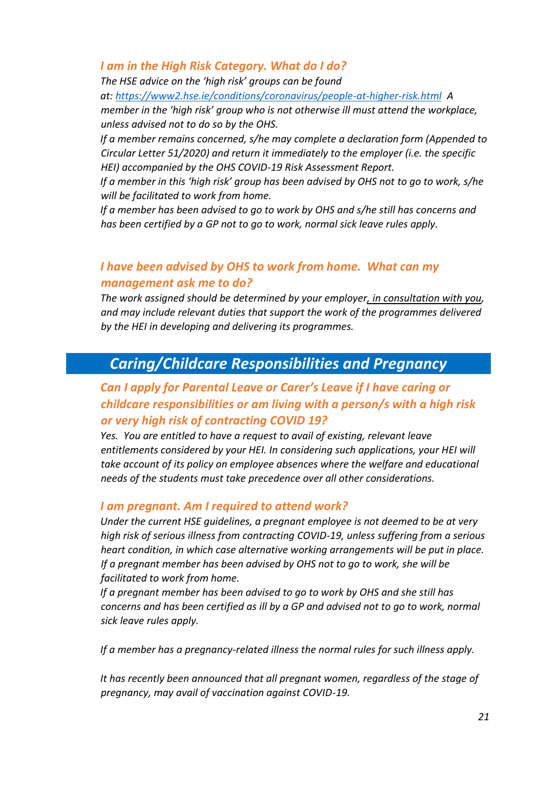#### <span id="page-20-0"></span>*I am in the High Risk Category. What do I do?*

*The HSE advice on the 'high risk' groups can be found at[:](https://www2.hse.ie/conditions/coronavirus/people-at-higher-risk.html) <https://www2.hse.ie/conditions/coronavirus/people-at-higher-risk.html> A member in the 'high risk' group who is not otherwise ill must attend the workplace, unless advised not to do so by the OHS.* 

*If a member remains concerned, s/he may complete a declaration form (Appended to Circular Letter 51/2020) and return it immediately to the employer (i.e. the specific HEI) accompanied by the OHS COVID-19 Risk Assessment Report.* 

*If a member in this 'high risk' group has been advised by OHS not to go to work, s/he will be facilitated to work from home.* 

*If a member has been advised to go to work by OHS and s/he still has concerns and has been certified by a GP not to go to work, normal sick leave rules apply.* 

# <span id="page-20-1"></span>*I have been advised by OHS to work from home. What can my management ask me to do?*

*The work assigned should be determined by your employer, in consultation with you, and may include relevant duties that support the work of the programmes delivered by the HEI in developing and delivering its programmes.* 

# <span id="page-20-2"></span>*Caring/Childcare Responsibilities and Pregnancy*

# <span id="page-20-3"></span>*Can I apply for Parental Leave or Carer's Leave if I have caring or childcare responsibilities or am living with a person/s with a high risk or very high risk of contracting COVID 19?*

*Yes. You are entitled to have a request to avail of existing, relevant leave entitlements considered by your HEI. In considering such applications, your HEI will take account of its policy on employee absences where the welfare and educational needs of the students must take precedence over all other considerations.* 

#### <span id="page-20-4"></span>*I am pregnant. Am I required to attend work?*

*Under the current HSE guidelines, a pregnant employee is not deemed to be at very high risk of serious illness from contracting COVID-19, unless suffering from a serious heart condition, in which case alternative working arrangements will be put in place. If a pregnant member has been advised by OHS not to go to work, she will be facilitated to work from home.* 

*If a pregnant member has been advised to go to work by OHS and she still has concerns and has been certified as ill by a GP and advised not to go to work, normal sick leave rules apply.* 

*If a member has a pregnancy-related illness the normal rules for such illness apply.* 

It has recently been announced that all pregnant women, regardless of the stage of *pregnancy, may avail of vaccination against COVID-19.*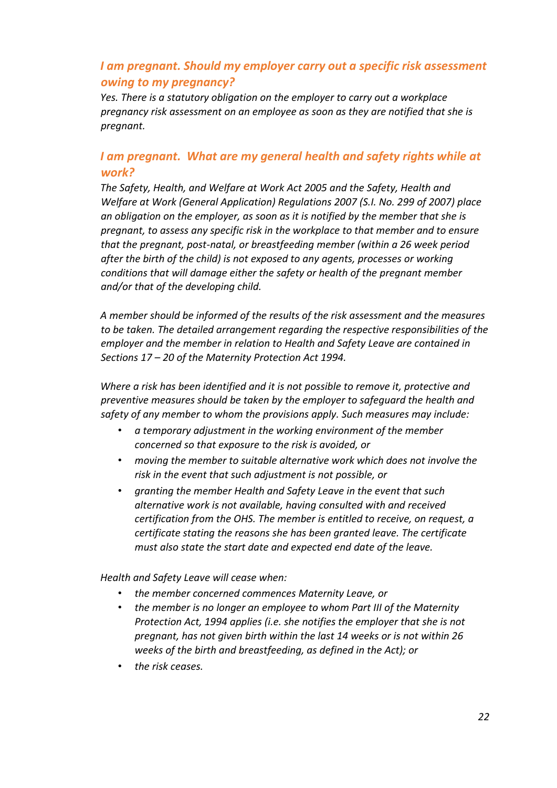# <span id="page-21-0"></span>*I am pregnant. Should my employer carry out a specific risk assessment owing to my pregnancy?*

*Yes. There is a statutory obligation on the employer to carry out a workplace pregnancy risk assessment on an employee as soon as they are notified that she is pregnant.* 

### <span id="page-21-1"></span>*I am pregnant. What are my general health and safety rights while at work?*

*The Safety, Health, and Welfare at Work Act 2005 and the Safety, Health and Welfare at Work (General Application) Regulations 2007 (S.I. No. 299 of 2007) place an obligation on the employer, as soon as it is notified by the member that she is pregnant, to assess any specific risk in the workplace to that member and to ensure that the pregnant, post-natal, or breastfeeding member (within a 26 week period after the birth of the child) is not exposed to any agents, processes or working conditions that will damage either the safety or health of the pregnant member and/or that of the developing child.* 

*A member should be informed of the results of the risk assessment and the measures to be taken. The detailed arrangement regarding the respective responsibilities of the employer and the member in relation to Health and Safety Leave are contained in Sections 17 – 20 of the Maternity Protection Act 1994.* 

*Where a risk has been identified and it is not possible to remove it, protective and preventive measures should be taken by the employer to safeguard the health and safety of any member to whom the provisions apply. Such measures may include:* 

- *a temporary adjustment in the working environment of the member concerned so that exposure to the risk is avoided, or*
- *moving the member to suitable alternative work which does not involve the risk in the event that such adjustment is not possible, or*
- *granting the member Health and Safety Leave in the event that such alternative work is not available, having consulted with and received certification from the OHS. The member is entitled to receive, on request, a certificate stating the reasons she has been granted leave. The certificate must also state the start date and expected end date of the leave.*

*Health and Safety Leave will cease when:* 

- *the member concerned commences Maternity Leave, or*
- *the member is no longer an employee to whom Part III of the Maternity Protection Act, 1994 applies (i.e. she notifies the employer that she is not pregnant, has not given birth within the last 14 weeks or is not within 26 weeks of the birth and breastfeeding, as defined in the Act); or*
- *the risk ceases.*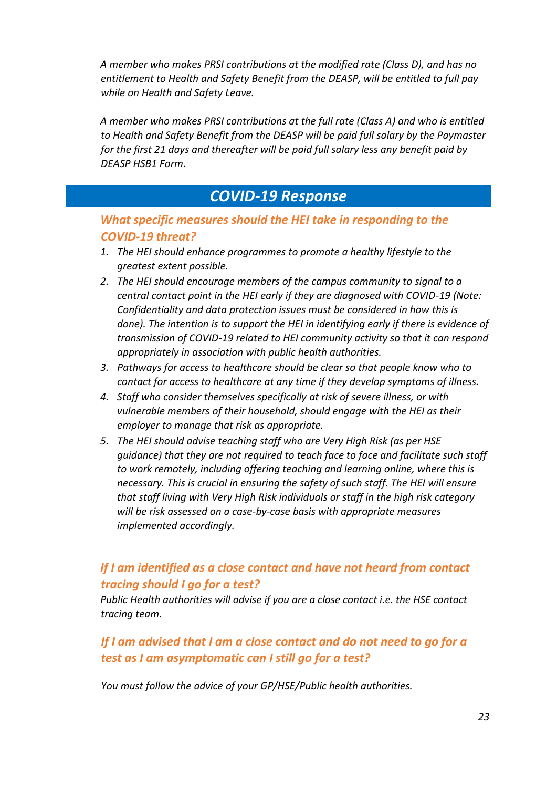*A member who makes PRSI contributions at the modified rate (Class D), and has no entitlement to Health and Safety Benefit from the DEASP, will be entitled to full pay while on Health and Safety Leave.* 

*A member who makes PRSI contributions at the full rate (Class A) and who is entitled to Health and Safety Benefit from the DEASP will be paid full salary by the Paymaster for the first 21 days and thereafter will be paid full salary less any benefit paid by DEASP HSB1 Form.* 

# *COVID-19 Response*

### <span id="page-22-1"></span><span id="page-22-0"></span>*What specific measures should the HEI take in responding to the COVID-19 threat?*

- *1. The HEI should enhance programmes to promote a healthy lifestyle to the greatest extent possible.*
- *2. The HEI should encourage members of the campus community to signal to a central contact point in the HEI early if they are diagnosed with COVID-19 (Note: Confidentiality and data protection issues must be considered in how this is done). The intention is to support the HEI in identifying early if there is evidence of transmission of COVID-19 related to HEI community activity so that it can respond appropriately in association with public health authorities.*
- *3. Pathways for access to healthcare should be clear so that people know who to contact for access to healthcare at any time if they develop symptoms of illness.*
- *4. Staff who consider themselves specifically at risk of severe illness, or with vulnerable members of their household, should engage with the HEI as their employer to manage that risk as appropriate.*
- *5. The HEI should advise teaching staff who are Very High Risk (as per HSE guidance) that they are not required to teach face to face and facilitate such staff to work remotely, including offering teaching and learning online, where this is necessary. This is crucial in ensuring the safety of such staff. The HEI will ensure that staff living with Very High Risk individuals or staff in the high risk category will be risk assessed on a case-by-case basis with appropriate measures implemented accordingly.*

# <span id="page-22-2"></span>*If I am identified as a close contact and have not heard from contact tracing should I go for a test?*

*Public Health authorities will advise if you are a close contact i.e. the HSE contact tracing team.* 

# <span id="page-22-3"></span>*If I am advised that I am a close contact and do not need to go for a test as I am asymptomatic can I still go for a test?*

*You must follow the advice of your GP/HSE/Public health authorities.*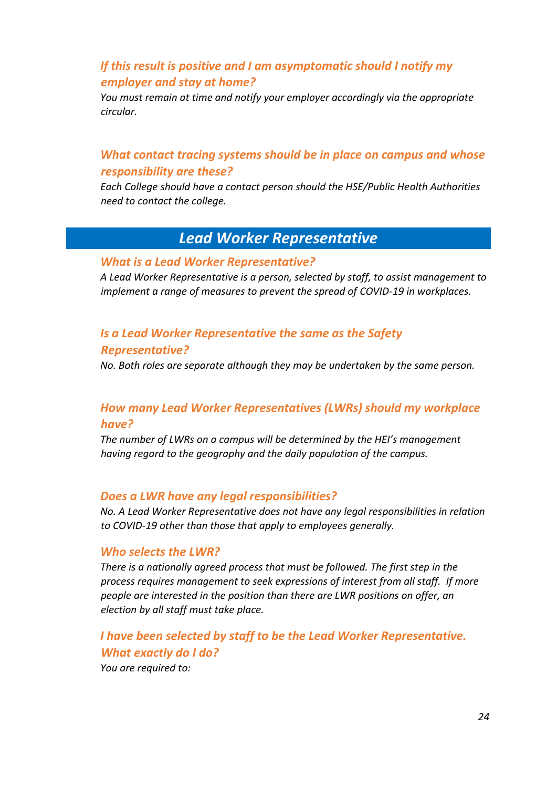### <span id="page-23-0"></span>*If this result is positive and I am asymptomatic should I notify my employer and stay at home?*

*You must remain at time and notify your employer accordingly via the appropriate circular.* 

### <span id="page-23-1"></span>*What contact tracing systems should be in place on campus and whose responsibility are these?*

*Each College should have a contact person should the HSE/Public Health Authorities need to contact the college.* 

# *Lead Worker Representative*

#### <span id="page-23-3"></span><span id="page-23-2"></span>*What is a Lead Worker Representative?*

*A Lead Worker Representative is a person, selected by staff, to assist management to implement a range of measures to prevent the spread of COVID-19 in workplaces.* 

### <span id="page-23-4"></span>*Is a Lead Worker Representative the same as the Safety*

#### *Representative?*

*No. Both roles are separate although they may be undertaken by the same person.* 

### <span id="page-23-5"></span>*How many Lead Worker Representatives (LWRs) should my workplace have?*

*The number of LWRs on a campus will be determined by the HEI's management having regard to the geography and the daily population of the campus.* 

#### <span id="page-23-6"></span>*Does a LWR have any legal responsibilities?*

*No. A Lead Worker Representative does not have any legal responsibilities in relation to COVID-19 other than those that apply to employees generally.* 

#### <span id="page-23-7"></span>*Who selects the LWR?*

*There is a nationally agreed process that must be followed. The first step in the process requires management to seek expressions of interest from all staff. If more people are interested in the position than there are LWR positions on offer, an election by all staff must take place.*

<span id="page-23-8"></span>*I have been selected by staff to be the Lead Worker Representative. What exactly do I do? You are required to:*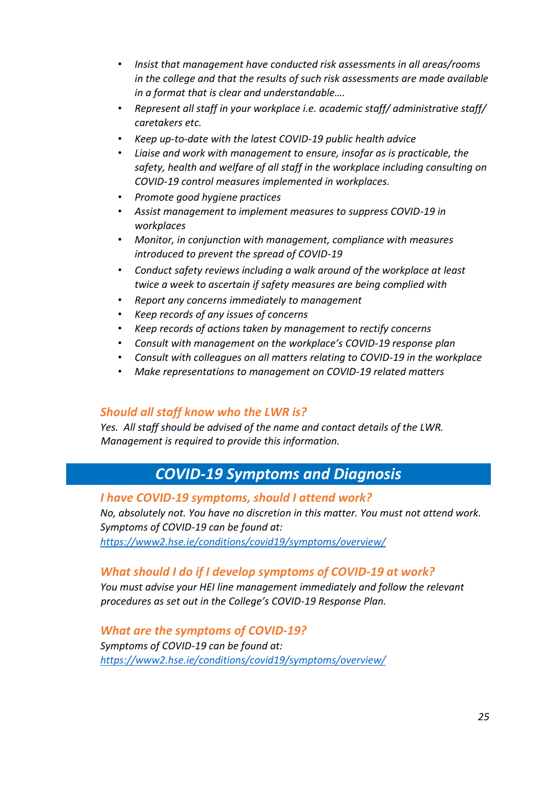- *Insist that management have conducted risk assessments in all areas/rooms in the college and that the results of such risk assessments are made available in a format that is clear and understandable….*
- *Represent all staff in your workplace i.e. academic staff/ administrative staff/ caretakers etc.*
- *Keep up-to-date with the latest COVID-19 public health advice*
- *Liaise and work with management to ensure, insofar as is practicable, the safety, health and welfare of all staff in the workplace including consulting on COVID-19 control measures implemented in workplaces.*
- *Promote good hygiene practices*
- *Assist management to implement measures to suppress COVID-19 in workplaces*
- *Monitor, in conjunction with management, compliance with measures introduced to prevent the spread of COVID-19*
- *Conduct safety reviews including a walk around of the workplace at least twice a week to ascertain if safety measures are being complied with*
- *Report any concerns immediately to management*
- *Keep records of any issues of concerns*
- *Keep records of actions taken by management to rectify concerns*
- *Consult with management on the workplace's COVID-19 response plan*
- *Consult with colleagues on all matters relating to COVID-19 in the workplace*
- *Make representations to management on COVID-19 related matters*

#### <span id="page-24-0"></span>*Should all staff know who the LWR is?*

*Yes. All staff should be advised of the name and contact details of the LWR. Management is required to provide this information.* 

# *COVID-19 Symptoms and Diagnosis*

#### <span id="page-24-2"></span><span id="page-24-1"></span>*I have COVID-19 symptoms, should I attend work?*

*No, absolutely not. You have no discretion in this matter. You must not attend work. Symptoms of COVID-19 can be found at: <https://www2.hse.ie/conditions/covid19/symptoms/overview/>*

### <span id="page-24-3"></span>*What should I do if I develop symptoms of COVID-19 at work?*

*You must advise your HEI line management immediately and follow the relevant procedures as set out in the College's COVID-19 Response Plan.*

#### <span id="page-24-4"></span>*What are the symptoms of COVID-19?*

*Symptoms of COVID-19 can be found at: <https://www2.hse.ie/conditions/covid19/symptoms/overview/>*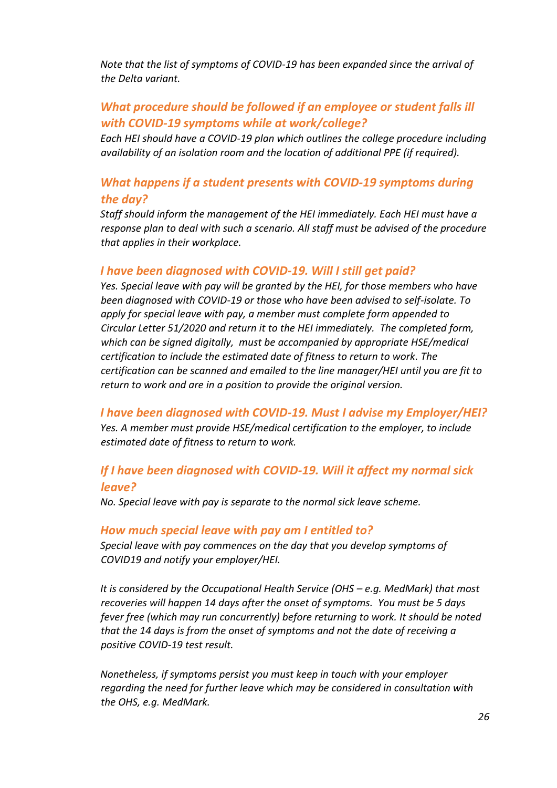*Note that the list of symptoms of COVID-19 has been expanded since the arrival of the Delta variant.*

# <span id="page-25-0"></span>*What procedure should be followed if an employee or student falls ill with COVID-19 symptoms while at work/college?*

*Each HEI should have a COVID-19 plan which outlines the college procedure including availability of an isolation room and the location of additional PPE (if required).*

### <span id="page-25-1"></span>*What happens if a student presents with COVID-19 symptoms during the day?*

*Staff should inform the management of the HEI immediately. Each HEI must have a response plan to deal with such a scenario. All staff must be advised of the procedure that applies in their workplace.* 

#### <span id="page-25-2"></span>*I have been diagnosed with COVID-19. Will I still get paid?*

*Yes. Special leave with pay will be granted by the HEI, for those members who have been diagnosed with COVID-19 or those who have been advised to self-isolate. To apply for special leave with pay, a member must complete form appended to Circular Letter 51/2020 and return it to the HEI immediately. The completed form, which can be signed digitally, must be accompanied by appropriate HSE/medical certification to include the estimated date of fitness to return to work. The certification can be scanned and emailed to the line manager/HEI until you are fit to return to work and are in a position to provide the original version.* 

<span id="page-25-3"></span>*I have been diagnosed with COVID-19. Must I advise my Employer/HEI? Yes. A member must provide HSE/medical certification to the employer, to include estimated date of fitness to return to work.* 

### <span id="page-25-4"></span>*If I have been diagnosed with COVID-19. Will it affect my normal sick leave?*

*No. Special leave with pay is separate to the normal sick leave scheme.*

#### <span id="page-25-5"></span>*How much special leave with pay am I entitled to?*

*Special leave with pay commences on the day that you develop symptoms of COVID19 and notify your employer/HEI.* 

It is considered by the Occupational Health Service (OHS – e.g. MedMark) that most *recoveries will happen 14 days after the onset of symptoms. You must be 5 days fever free (which may run concurrently) before returning to work. It should be noted that the 14 days is from the onset of symptoms and not the date of receiving a positive COVID-19 test result.* 

*Nonetheless, if symptoms persist you must keep in touch with your employer regarding the need for further leave which may be considered in consultation with the OHS, e.g. MedMark.*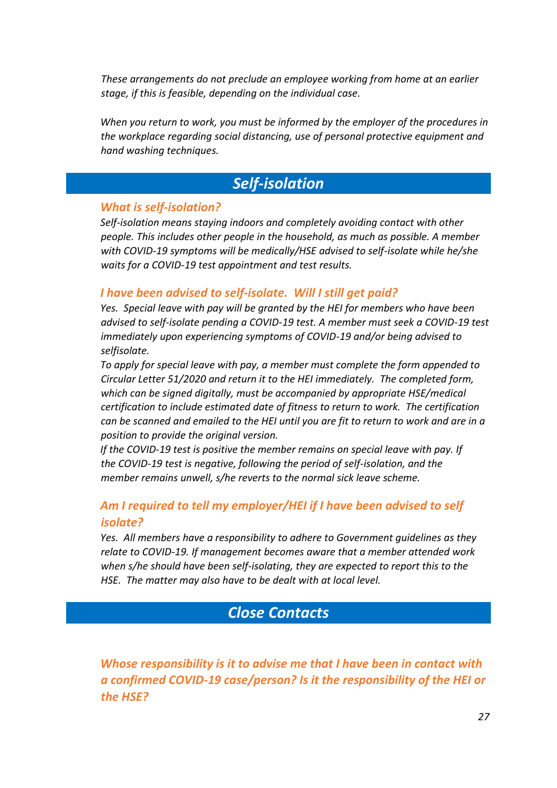*These arrangements do not preclude an employee working from home at an earlier stage, if this is feasible, depending on the individual case.* 

*When you return to work, you must be informed by the employer of the procedures in the workplace regarding social distancing, use of personal protective equipment and hand washing techniques.* 

# *Self-isolation*

#### <span id="page-26-1"></span><span id="page-26-0"></span>*What is self-isolation?*

*Self-isolation means staying indoors and completely avoiding contact with other people. This includes other people in the household, as much as possible. A member with COVID-19 symptoms will be medically/HSE advised to self-isolate while he/she waits for a COVID-19 test appointment and test results.* 

#### <span id="page-26-2"></span>*I have been advised to self-isolate. Will I still get paid?*

*Yes. Special leave with pay will be granted by the HEI for members who have been advised to self-isolate pending a COVID-19 test. A member must seek a COVID-19 test immediately upon experiencing symptoms of COVID-19 and/or being advised to selfisolate.* 

*To apply for special leave with pay, a member must complete the form appended to Circular Letter 51/2020 and return it to the HEI immediately. The completed form, which can be signed digitally, must be accompanied by appropriate HSE/medical certification to include estimated date of fitness to return to work. The certification can be scanned and emailed to the HEI until you are fit to return to work and are in a position to provide the original version.* 

*If the COVID-19 test is positive the member remains on special leave with pay. If the COVID-19 test is negative, following the period of self-isolation, and the member remains unwell, s/he reverts to the normal sick leave scheme.* 

### <span id="page-26-3"></span>*Am I required to tell my employer/HEI if I have been advised to self isolate?*

*Yes. All members have a responsibility to adhere to Government guidelines as they relate to COVID-19. If management becomes aware that a member attended work when s/he should have been self-isolating, they are expected to report this to the HSE. The matter may also have to be dealt with at local level.* 

# *Close Contacts*

<span id="page-26-4"></span>*Whose responsibility is it to advise me that I have been in contact with a confirmed COVID-19 case/person? Is it the responsibility of the HEI or the HSE?*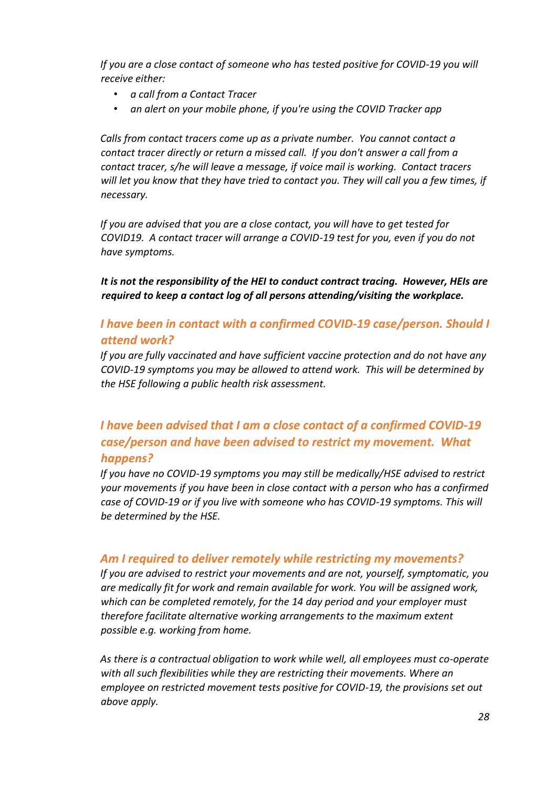*If you are a close contact of someone who has tested positive for COVID-19 you will receive either:* 

- *a call from a Contact Tracer*
- *an alert on your mobile phone, if you're using the COVID Tracker app*

*Calls from contact tracers come up as a private number. You cannot contact a contact tracer directly or return a missed call. If you don't answer a call from a contact tracer, s/he will leave a message, if voice mail is working. Contact tracers will let you know that they have tried to contact you. They will call you a few times, if necessary.* 

*If you are advised that you are a close contact, you will have to get tested for COVID19. A contact tracer will arrange a COVID-19 test for you, even if you do not have symptoms.* 

*It is not the responsibility of the HEI to conduct contract tracing. However, HEIs are required to keep a contact log of all persons attending/visiting the workplace.*

### *I have been in contact with a confirmed COVID-19 case/person. Should I attend work?*

*If you are fully vaccinated and have sufficient vaccine protection and do not have any COVID-19 symptoms you may be allowed to attend work. This will be determined by the HSE following a public health risk assessment.* 

# *I have been advised that I am a close contact of a confirmed COVID-19 case/person and have been advised to restrict my movement. What happens?*

*If you have no COVID-19 symptoms you may still be medically/HSE advised to restrict your movements if you have been in close contact with a person who has a confirmed case of COVID-19 or if you live with someone who has COVID-19 symptoms. This will be determined by the HSE.* 

#### *Am I required to deliver remotely while restricting my movements?*

*If you are advised to restrict your movements and are not, yourself, symptomatic, you are medically fit for work and remain available for work. You will be assigned work, which can be completed remotely, for the 14 day period and your employer must therefore facilitate alternative working arrangements to the maximum extent possible e.g. working from home.* 

*As there is a contractual obligation to work while well, all employees must co-operate with all such flexibilities while they are restricting their movements. Where an employee on restricted movement tests positive for COVID-19, the provisions set out above apply.*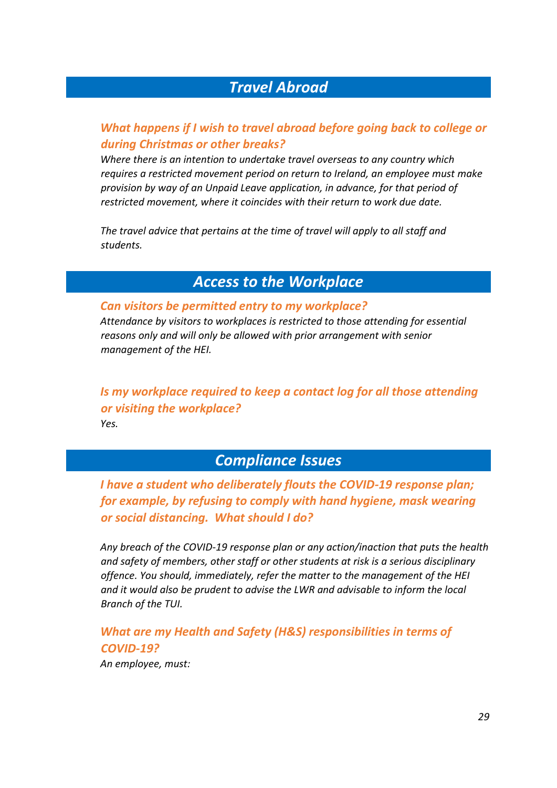# *Travel Abroad*

### <span id="page-28-0"></span>*What happens if I wish to travel abroad before going back to college or during Christmas or other breaks?*

*Where there is an intention to undertake travel overseas to any country which requires a restricted movement period on return to Ireland, an employee must make provision by way of an Unpaid Leave application, in advance, for that period of restricted movement, where it coincides with their return to work due date.* 

*The travel advice that pertains at the time of travel will apply to all staff and students.* 

# *Access to the Workplace*

#### <span id="page-28-1"></span>*Can visitors be permitted entry to my workplace?*

*Attendance by visitors to workplaces is restricted to those attending for essential reasons only and will only be allowed with prior arrangement with senior management of the HEI.* 

*Is my workplace required to keep a contact log for all those attending or visiting the workplace? Yes.* 

# *Compliance Issues*

<span id="page-28-2"></span>*I have a student who deliberately flouts the COVID-19 response plan; for example, by refusing to comply with hand hygiene, mask wearing or social distancing. What should I do?* 

*Any breach of the COVID-19 response plan or any action/inaction that puts the health and safety of members, other staff or other students at risk is a serious disciplinary offence. You should, immediately, refer the matter to the management of the HEI and it would also be prudent to advise the LWR and advisable to inform the local Branch of the TUI.* 

*What are my Health and Safety (H&S) responsibilities in terms of COVID-19? An employee, must:*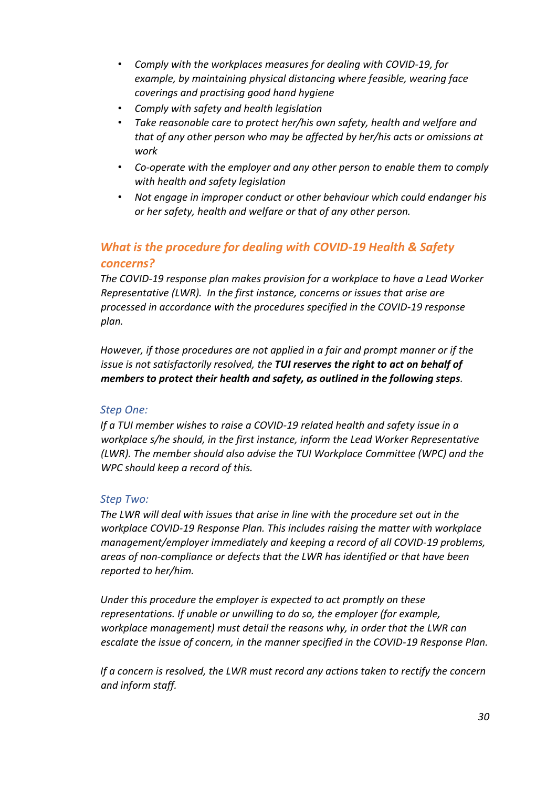- *Comply with the workplaces measures for dealing with COVID-19, for example, by maintaining physical distancing where feasible, wearing face coverings and practising good hand hygiene*
- *Comply with safety and health legislation*
- *Take reasonable care to protect her/his own safety, health and welfare and that of any other person who may be affected by her/his acts or omissions at work*
- *Co-operate with the employer and any other person to enable them to comply with health and safety legislation*
- *Not engage in improper conduct or other behaviour which could endanger his or her safety, health and welfare or that of any other person.*

# *What is the procedure for dealing with COVID-19 Health & Safety concerns?*

*The COVID-19 response plan makes provision for a workplace to have a Lead Worker Representative (LWR). In the first instance, concerns or issues that arise are processed in accordance with the procedures specified in the COVID-19 response plan.* 

*However, if those procedures are not applied in a fair and prompt manner or if the issue is not satisfactorily resolved, the TUI reserves the right to act on behalf of members to protect their health and safety, as outlined in the following steps.* 

#### *Step One:*

*If a TUI member wishes to raise a COVID-19 related health and safety issue in a workplace s/he should, in the first instance, inform the Lead Worker Representative (LWR). The member should also advise the TUI Workplace Committee (WPC) and the WPC should keep a record of this.* 

#### *Step Two:*

*The LWR will deal with issues that arise in line with the procedure set out in the workplace COVID-19 Response Plan. This includes raising the matter with workplace management/employer immediately and keeping a record of all COVID-19 problems, areas of non-compliance or defects that the LWR has identified or that have been reported to her/him.* 

*Under this procedure the employer is expected to act promptly on these representations. If unable or unwilling to do so, the employer (for example, workplace management) must detail the reasons why, in order that the LWR can escalate the issue of concern, in the manner specified in the COVID-19 Response Plan.* 

*If a concern is resolved, the LWR must record any actions taken to rectify the concern and inform staff.*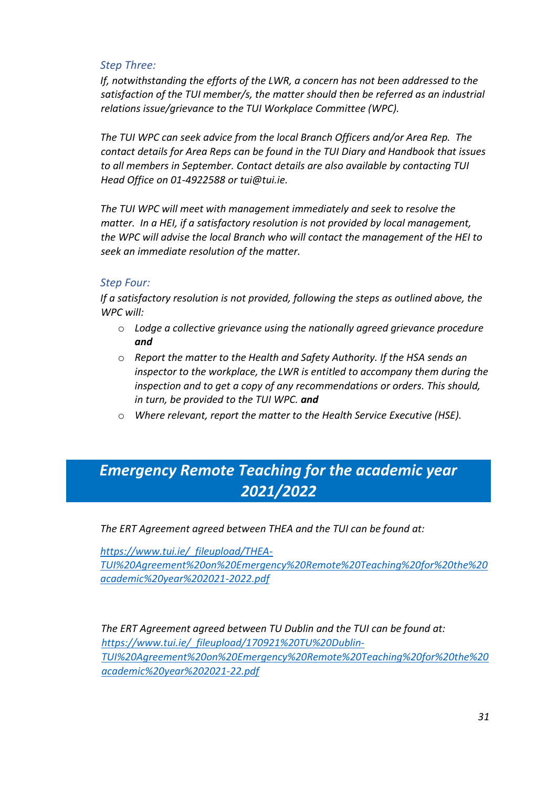#### *Step Three:*

*If, notwithstanding the efforts of the LWR, a concern has not been addressed to the satisfaction of the TUI member/s, the matter should then be referred as an industrial relations issue/grievance to the TUI Workplace Committee (WPC).*

*The TUI WPC can seek advice from the local Branch Officers and/or Area Rep. The contact details for Area Reps can be found in the TUI Diary and Handbook that issues to all members in September. Contact details are also available by contacting TUI Head Office on 01-4922588 or tui@tui.ie.*

*The TUI WPC will meet with management immediately and seek to resolve the matter. In a HEI, if a satisfactory resolution is not provided by local management, the WPC will advise the local Branch who will contact the management of the HEI to seek an immediate resolution of the matter.* 

#### *Step Four:*

*If a satisfactory resolution is not provided, following the steps as outlined above, the WPC will:*

- o *Lodge a collective grievance using the nationally agreed grievance procedure and*
- o *Report the matter to the Health and Safety Authority. If the HSA sends an inspector to the workplace, the LWR is entitled to accompany them during the inspection and to get a copy of any recommendations or orders. This should, in turn, be provided to the TUI WPC. and*
- o *Where relevant, report the matter to the Health Service Executive (HSE).*

# <span id="page-30-0"></span>*Emergency Remote Teaching for the academic year 2021/2022*

*The ERT Agreement agreed between THEA and the TUI can be found at:* 

*[https://www.tui.ie/\\_fileupload/THEA-](https://www.tui.ie/_fileupload/THEA-TUI%20Agreement%20on%20Emergency%20Remote%20Teaching%20for%20the%20academic%20year%202021-2022.pdf)[TUI%20Agreement%20on%20Emergency%20Remote%20Teaching%20for%20the%20](https://www.tui.ie/_fileupload/THEA-TUI%20Agreement%20on%20Emergency%20Remote%20Teaching%20for%20the%20academic%20year%202021-2022.pdf) [academic%20year%202021-2022.pdf](https://www.tui.ie/_fileupload/THEA-TUI%20Agreement%20on%20Emergency%20Remote%20Teaching%20for%20the%20academic%20year%202021-2022.pdf)*

*The ERT Agreement agreed between TU Dublin and the TUI can be found at: [https://www.tui.ie/\\_fileupload/170921%20TU%20Dublin-](https://www.tui.ie/_fileupload/170921%20TU%20Dublin-TUI%20Agreement%20on%20Emergency%20Remote%20Teaching%20for%20the%20academic%20year%202021-22.pdf)[TUI%20Agreement%20on%20Emergency%20Remote%20Teaching%20for%20the%20](https://www.tui.ie/_fileupload/170921%20TU%20Dublin-TUI%20Agreement%20on%20Emergency%20Remote%20Teaching%20for%20the%20academic%20year%202021-22.pdf) [academic%20year%202021-22.pdf](https://www.tui.ie/_fileupload/170921%20TU%20Dublin-TUI%20Agreement%20on%20Emergency%20Remote%20Teaching%20for%20the%20academic%20year%202021-22.pdf)*